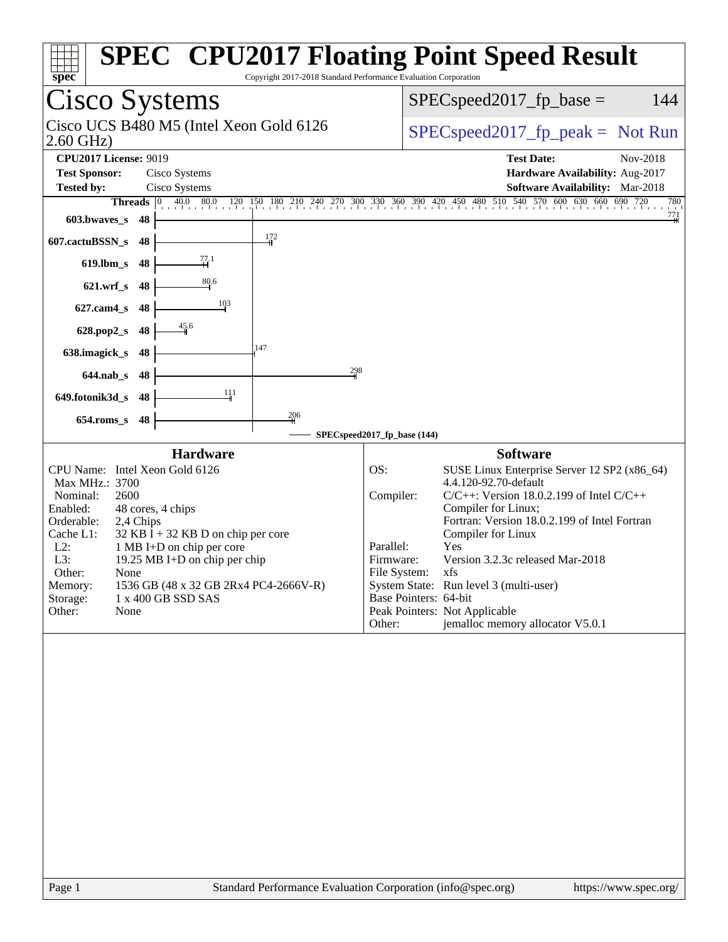| Copyright 2017-2018 Standard Performance Evaluation Corporation<br>spec <sup>®</sup>                                                                                                                                                                                                                                                                                                                                                                           | <b>SPEC<sup>®</sup> CPU2017 Floating Point Speed Result</b>                                                                                                                                                                                                                                                                                                                                                                                                                                           |
|----------------------------------------------------------------------------------------------------------------------------------------------------------------------------------------------------------------------------------------------------------------------------------------------------------------------------------------------------------------------------------------------------------------------------------------------------------------|-------------------------------------------------------------------------------------------------------------------------------------------------------------------------------------------------------------------------------------------------------------------------------------------------------------------------------------------------------------------------------------------------------------------------------------------------------------------------------------------------------|
| <b>Cisco Systems</b>                                                                                                                                                                                                                                                                                                                                                                                                                                           | $SPEC speed2017fp base =$<br>144                                                                                                                                                                                                                                                                                                                                                                                                                                                                      |
| Cisco UCS B480 M5 (Intel Xeon Gold 6126<br>$2.60$ GHz)                                                                                                                                                                                                                                                                                                                                                                                                         | $SPEC speed2017fr peak = Not Run$                                                                                                                                                                                                                                                                                                                                                                                                                                                                     |
| <b>CPU2017 License: 9019</b><br><b>Test Sponsor:</b><br>Cisco Systems<br><b>Tested by:</b><br>Cisco Systems<br>40.0 80.0<br>120<br><b>Threads</b> $\vert 0 \rangle$<br>603.bwaves_s<br>- 48<br>172<br>607.cactuBSSN_s<br>48<br>$\frac{77.1}{1}$<br>48<br>$619$ .lbm_s<br>80.6<br>$621.wrf$ <sub>S</sub><br>48<br>$627$ .cam $4_s$<br>48<br>45.6<br>628.pop2_s<br>48<br>147<br>638.imagick_s<br>48<br>298<br>$644.nab_s$<br>48<br>111<br>649.fotonik3d_s<br>-48 | <b>Test Date:</b><br>Nov-2018<br>Hardware Availability: Aug-2017<br>Software Availability: Mar-2018<br>150 180 210 240 270 300 330 360 390 420 450 480 510 540 570 600 630 660 690 720<br>780<br>$\frac{771}{4}$                                                                                                                                                                                                                                                                                      |
| 206<br>$654$ .roms_s<br>48                                                                                                                                                                                                                                                                                                                                                                                                                                     | SPECspeed2017_fp_base (144)                                                                                                                                                                                                                                                                                                                                                                                                                                                                           |
| <b>Hardware</b><br>CPU Name: Intel Xeon Gold 6126<br>Max MHz.: 3700<br>Nominal:<br>2600<br>Enabled:<br>48 cores, 4 chips<br>Orderable:<br>2,4 Chips<br>Cache L1:<br>$32$ KB I + 32 KB D on chip per core<br>$L2$ :<br>1 MB I+D on chip per core<br>L3:<br>19.25 MB I+D on chip per chip<br>Other:<br>None<br>1536 GB (48 x 32 GB 2Rx4 PC4-2666V-R)<br>Memory:<br>Storage:<br>1 x 400 GB SSD SAS<br>Other:<br>None                                              | <b>Software</b><br>OS:<br>SUSE Linux Enterprise Server 12 SP2 (x86_64)<br>4.4.120-92.70-default<br>Compiler:<br>$C/C++$ : Version 18.0.2.199 of Intel $C/C++$<br>Compiler for Linux;<br>Fortran: Version 18.0.2.199 of Intel Fortran<br>Compiler for Linux<br>Yes<br>Parallel:<br>Version 3.2.3c released Mar-2018<br>Firmware:<br>File System: xfs<br>System State: Run level 3 (multi-user)<br>Base Pointers: 64-bit<br>Peak Pointers: Not Applicable<br>jemalloc memory allocator V5.0.1<br>Other: |
|                                                                                                                                                                                                                                                                                                                                                                                                                                                                |                                                                                                                                                                                                                                                                                                                                                                                                                                                                                                       |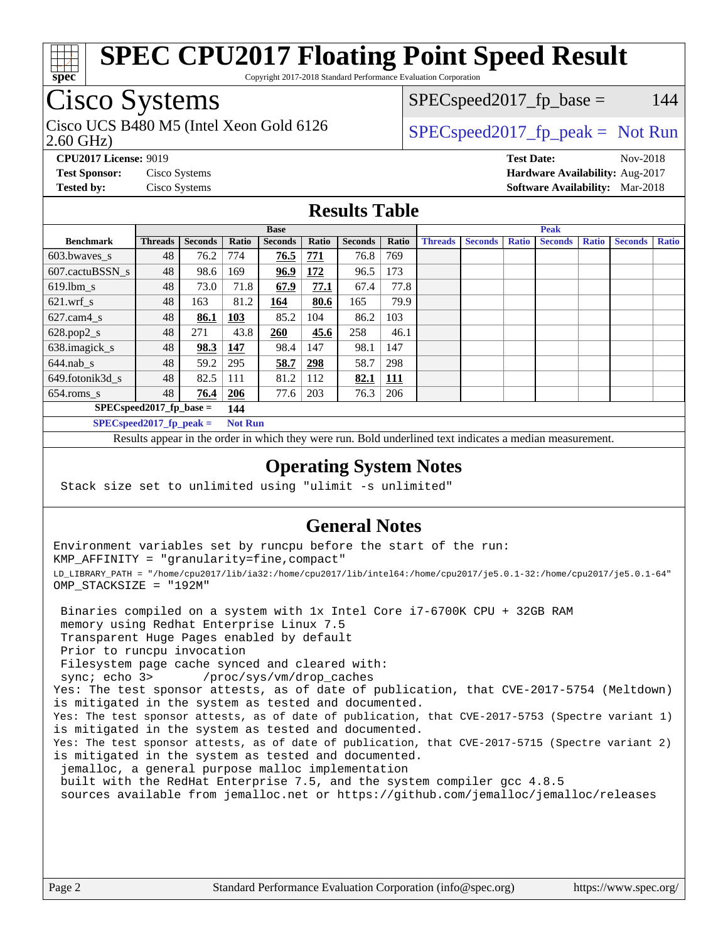

Copyright 2017-2018 Standard Performance Evaluation Corporation

## Cisco Systems

2.60 GHz) Cisco UCS B480 M5 (Intel Xeon Gold 6126  $\vert$  [SPECspeed2017\\_fp\\_peak =](http://www.spec.org/auto/cpu2017/Docs/result-fields.html#SPECspeed2017fppeak) Not Run

 $SPEC speed2017<sub>fp</sub> base = 144$ 

**[CPU2017 License:](http://www.spec.org/auto/cpu2017/Docs/result-fields.html#CPU2017License)** 9019 **[Test Date:](http://www.spec.org/auto/cpu2017/Docs/result-fields.html#TestDate)** Nov-2018 **[Test Sponsor:](http://www.spec.org/auto/cpu2017/Docs/result-fields.html#TestSponsor)** Cisco Systems **[Hardware Availability:](http://www.spec.org/auto/cpu2017/Docs/result-fields.html#HardwareAvailability)** Aug-2017 **[Tested by:](http://www.spec.org/auto/cpu2017/Docs/result-fields.html#Testedby)** Cisco Systems **[Software Availability:](http://www.spec.org/auto/cpu2017/Docs/result-fields.html#SoftwareAvailability)** Mar-2018

### **[Results Table](http://www.spec.org/auto/cpu2017/Docs/result-fields.html#ResultsTable)**

|                                   | <b>Base</b>                |                |                |                | <b>Peak</b> |                |            |                |                |              |                |              |                |              |
|-----------------------------------|----------------------------|----------------|----------------|----------------|-------------|----------------|------------|----------------|----------------|--------------|----------------|--------------|----------------|--------------|
| <b>Benchmark</b>                  | <b>Threads</b>             | <b>Seconds</b> | Ratio          | <b>Seconds</b> | Ratio       | <b>Seconds</b> | Ratio      | <b>Threads</b> | <b>Seconds</b> | <b>Ratio</b> | <b>Seconds</b> | <b>Ratio</b> | <b>Seconds</b> | <b>Ratio</b> |
| $603.bwaves$ s                    | 48                         | 76.2           | 774            | 76.5           | 771         | 76.8           | 769        |                |                |              |                |              |                |              |
| 607.cactuBSSN s                   | 48                         | 98.6           | 169            | 96.9           | 172         | 96.5           | 173        |                |                |              |                |              |                |              |
| $619.$ lbm_s                      | 48                         | 73.0           | 71.8           | 67.9           | 77.1        | 67.4           | 77.8       |                |                |              |                |              |                |              |
| $621.wrf$ s                       | 48                         | 163            | 81.2           | 164            | 80.6        | 165            | 79.9       |                |                |              |                |              |                |              |
| $627$ .cam $4 \text{ s}$          | 48                         | 86.1           | <b>103</b>     | 85.2           | 104         | 86.2           | 103        |                |                |              |                |              |                |              |
| $628.pop2_s$                      | 48                         | 271            | 43.8           | 260            | 45.6        | 258            | 46.1       |                |                |              |                |              |                |              |
| 638.imagick_s                     | 48                         | 98.3           | 147            | 98.4           | 147         | 98.1           | 147        |                |                |              |                |              |                |              |
| $644$ .nab s                      | 48                         | 59.2           | 295            | 58.7           | 298         | 58.7           | 298        |                |                |              |                |              |                |              |
| 649.fotonik3d s                   | 48                         | 82.5           | 111            | 81.2           | 112         | 82.1           | <u>111</u> |                |                |              |                |              |                |              |
| $654$ .roms s                     | 48                         | 76.4           | 206            | 77.6           | 203         | 76.3           | 206        |                |                |              |                |              |                |              |
| $SPEC speed2017$ fp base =<br>144 |                            |                |                |                |             |                |            |                |                |              |                |              |                |              |
|                                   | $SPECspeed2017_fp\_peak =$ |                | <b>Not Run</b> |                |             |                |            |                |                |              |                |              |                |              |

Results appear in the [order in which they were run.](http://www.spec.org/auto/cpu2017/Docs/result-fields.html#RunOrder) Bold underlined text [indicates a median measurement](http://www.spec.org/auto/cpu2017/Docs/result-fields.html#Median).

#### **[Operating System Notes](http://www.spec.org/auto/cpu2017/Docs/result-fields.html#OperatingSystemNotes)**

Stack size set to unlimited using "ulimit -s unlimited"

#### **[General Notes](http://www.spec.org/auto/cpu2017/Docs/result-fields.html#GeneralNotes)**

Environment variables set by runcpu before the start of the run: KMP\_AFFINITY = "granularity=fine,compact" LD\_LIBRARY\_PATH = "/home/cpu2017/lib/ia32:/home/cpu2017/lib/intel64:/home/cpu2017/je5.0.1-32:/home/cpu2017/je5.0.1-64" OMP\_STACKSIZE = "192M"

 Binaries compiled on a system with 1x Intel Core i7-6700K CPU + 32GB RAM memory using Redhat Enterprise Linux 7.5 Transparent Huge Pages enabled by default Prior to runcpu invocation Filesystem page cache synced and cleared with: sync; echo 3> /proc/sys/vm/drop\_caches Yes: The test sponsor attests, as of date of publication, that CVE-2017-5754 (Meltdown) is mitigated in the system as tested and documented. Yes: The test sponsor attests, as of date of publication, that CVE-2017-5753 (Spectre variant 1) is mitigated in the system as tested and documented. Yes: The test sponsor attests, as of date of publication, that CVE-2017-5715 (Spectre variant 2) is mitigated in the system as tested and documented. jemalloc, a general purpose malloc implementation built with the RedHat Enterprise 7.5, and the system compiler gcc 4.8.5 sources available from jemalloc.net or <https://github.com/jemalloc/jemalloc/releases>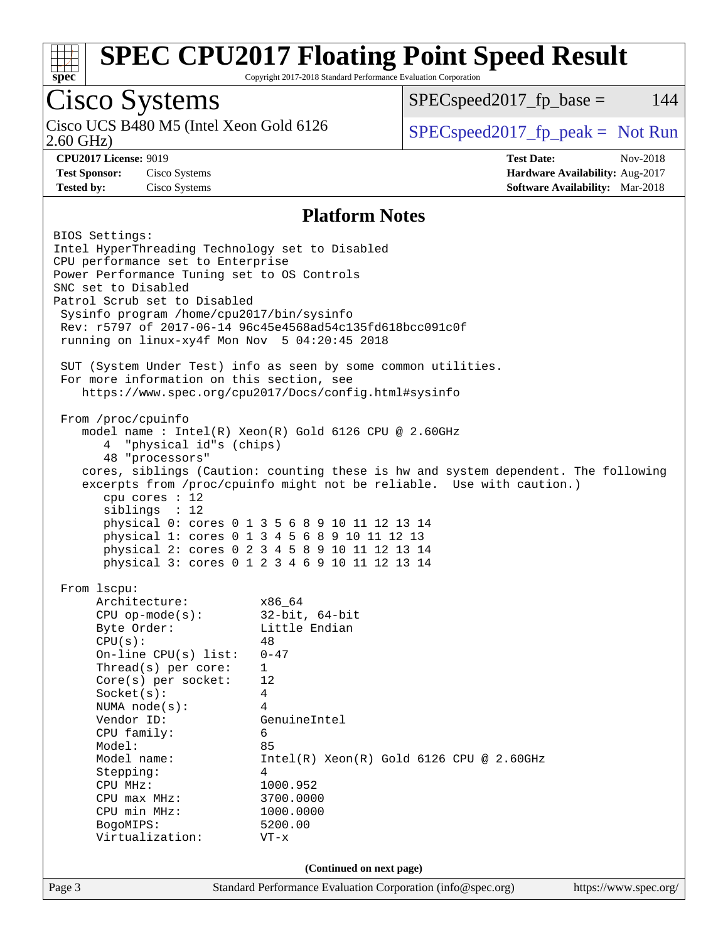

Copyright 2017-2018 Standard Performance Evaluation Corporation

## Cisco Systems

2.60 GHz) Cisco UCS B480 M5 (Intel Xeon Gold 6126  $\vert$  [SPECspeed2017\\_fp\\_peak =](http://www.spec.org/auto/cpu2017/Docs/result-fields.html#SPECspeed2017fppeak) Not Run

 $SPEC speed2017<sub>fp</sub> base = 144$ 

**[Tested by:](http://www.spec.org/auto/cpu2017/Docs/result-fields.html#Testedby)** Cisco Systems **[Software Availability:](http://www.spec.org/auto/cpu2017/Docs/result-fields.html#SoftwareAvailability)** Mar-2018

**[CPU2017 License:](http://www.spec.org/auto/cpu2017/Docs/result-fields.html#CPU2017License)** 9019 **[Test Date:](http://www.spec.org/auto/cpu2017/Docs/result-fields.html#TestDate)** Nov-2018 **[Test Sponsor:](http://www.spec.org/auto/cpu2017/Docs/result-fields.html#TestSponsor)** Cisco Systems **[Hardware Availability:](http://www.spec.org/auto/cpu2017/Docs/result-fields.html#HardwareAvailability)** Aug-2017

#### **[Platform Notes](http://www.spec.org/auto/cpu2017/Docs/result-fields.html#PlatformNotes)**

Page 3 Standard Performance Evaluation Corporation [\(info@spec.org\)](mailto:info@spec.org) <https://www.spec.org/> BIOS Settings: Intel HyperThreading Technology set to Disabled CPU performance set to Enterprise Power Performance Tuning set to OS Controls SNC set to Disabled Patrol Scrub set to Disabled Sysinfo program /home/cpu2017/bin/sysinfo Rev: r5797 of 2017-06-14 96c45e4568ad54c135fd618bcc091c0f running on linux-xy4f Mon Nov 5 04:20:45 2018 SUT (System Under Test) info as seen by some common utilities. For more information on this section, see <https://www.spec.org/cpu2017/Docs/config.html#sysinfo> From /proc/cpuinfo model name : Intel(R) Xeon(R) Gold 6126 CPU @ 2.60GHz 4 "physical id"s (chips) 48 "processors" cores, siblings (Caution: counting these is hw and system dependent. The following excerpts from /proc/cpuinfo might not be reliable. Use with caution.) cpu cores : 12 siblings : 12 physical 0: cores 0 1 3 5 6 8 9 10 11 12 13 14 physical 1: cores 0 1 3 4 5 6 8 9 10 11 12 13 physical 2: cores 0 2 3 4 5 8 9 10 11 12 13 14 physical 3: cores 0 1 2 3 4 6 9 10 11 12 13 14 From lscpu: Architecture: x86\_64 CPU op-mode(s): 32-bit, 64-bit Byte Order: Little Endian  $CPU(s):$  48 On-line CPU(s) list: 0-47 Thread(s) per core: 1 Core(s) per socket: 12 Socket(s): 4 NUMA node(s): 4 Vendor ID: GenuineIntel CPU family: 6 Model: 85 Model name: Intel(R) Xeon(R) Gold 6126 CPU @ 2.60GHz Stepping: 4 CPU MHz: 1000.952<br>
CPU max MHz: 3700.0000  $CPU$  max  $MHz$ : CPU min MHz: 1000.0000 BogoMIPS: 5200.00 Virtualization: VT-x **(Continued on next page)**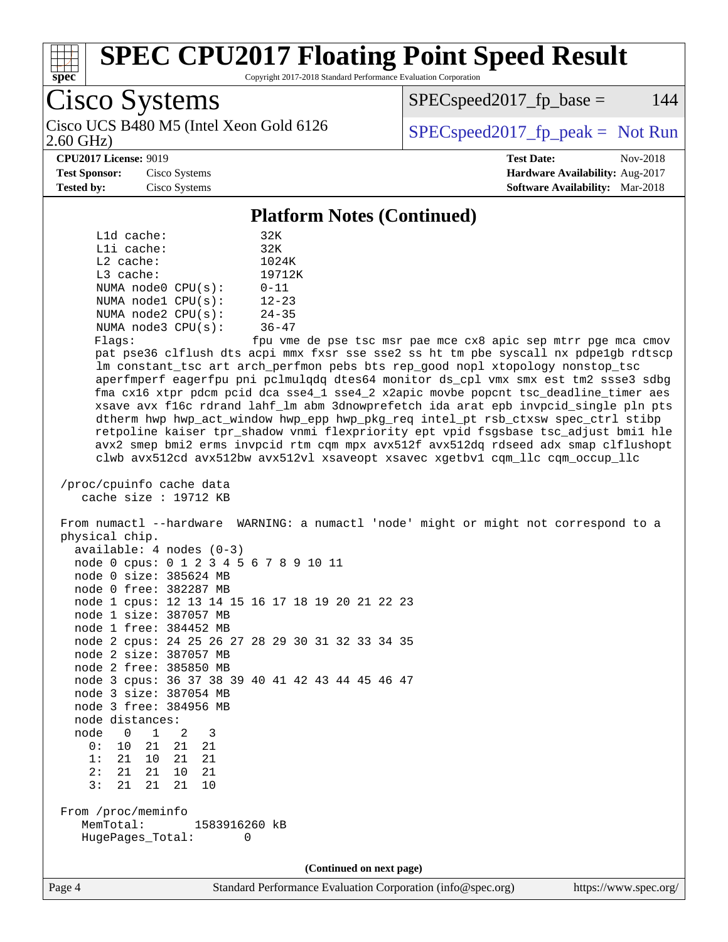

Copyright 2017-2018 Standard Performance Evaluation Corporation

Cisco Systems

Cisco UCS B480 M5 (Intel Xeon Gold 6126  $\vert$  [SPECspeed2017\\_fp\\_peak =](http://www.spec.org/auto/cpu2017/Docs/result-fields.html#SPECspeed2017fppeak) Not Run

 $SPEC speed2017_fp\_base = 144$ 

2.60 GHz)

**[CPU2017 License:](http://www.spec.org/auto/cpu2017/Docs/result-fields.html#CPU2017License)** 9019 **[Test Date:](http://www.spec.org/auto/cpu2017/Docs/result-fields.html#TestDate)** Nov-2018

**[Test Sponsor:](http://www.spec.org/auto/cpu2017/Docs/result-fields.html#TestSponsor)** Cisco Systems **[Hardware Availability:](http://www.spec.org/auto/cpu2017/Docs/result-fields.html#HardwareAvailability)** Aug-2017 **[Tested by:](http://www.spec.org/auto/cpu2017/Docs/result-fields.html#Testedby)** Cisco Systems **[Software Availability:](http://www.spec.org/auto/cpu2017/Docs/result-fields.html#SoftwareAvailability)** Mar-2018

**[Platform Notes \(Continued\)](http://www.spec.org/auto/cpu2017/Docs/result-fields.html#PlatformNotes)**

| $L1d$ cache:       |              |                         | 32K       |  |  |  |  |  |
|--------------------|--------------|-------------------------|-----------|--|--|--|--|--|
|                    | $L1i$ cache: |                         |           |  |  |  |  |  |
| $L2$ cache:        |              |                         | 1024K     |  |  |  |  |  |
|                    | $L3$ cache:  |                         |           |  |  |  |  |  |
| NUMA node0 CPU(s): |              |                         | $0 - 11$  |  |  |  |  |  |
|                    |              | NUMA nodel CPU(s):      | $12 - 23$ |  |  |  |  |  |
|                    |              | NUMA $node2$ $CPU(s)$ : | $24 - 35$ |  |  |  |  |  |
| NUMA node3 CPU(s): |              |                         | $36 - 47$ |  |  |  |  |  |
|                    |              |                         |           |  |  |  |  |  |

Flags: fpu vme de pse tsc msr pae mce cx8 apic sep mtrr pge mca cmov pat pse36 clflush dts acpi mmx fxsr sse sse2 ss ht tm pbe syscall nx pdpe1gb rdtscp lm constant\_tsc art arch\_perfmon pebs bts rep\_good nopl xtopology nonstop\_tsc aperfmperf eagerfpu pni pclmulqdq dtes64 monitor ds\_cpl vmx smx est tm2 ssse3 sdbg fma cx16 xtpr pdcm pcid dca sse4\_1 sse4\_2 x2apic movbe popcnt tsc\_deadline\_timer aes xsave avx f16c rdrand lahf\_lm abm 3dnowprefetch ida arat epb invpcid\_single pln pts dtherm hwp hwp\_act\_window hwp\_epp hwp\_pkg\_req intel\_pt rsb\_ctxsw spec\_ctrl stibp retpoline kaiser tpr\_shadow vnmi flexpriority ept vpid fsgsbase tsc\_adjust bmi1 hle avx2 smep bmi2 erms invpcid rtm cqm mpx avx512f avx512dq rdseed adx smap clflushopt clwb avx512cd avx512bw avx512vl xsaveopt xsavec xgetbv1 cqm\_llc cqm\_occup\_llc

 /proc/cpuinfo cache data cache size : 19712 KB

 From numactl --hardware WARNING: a numactl 'node' might or might not correspond to a physical chip. available: 4 nodes (0-3)

|                    |                  |  | $\alpha$ vallable $\cdot$ inoucly (0 3)          |   |  |  |  |                          |  |
|--------------------|------------------|--|--------------------------------------------------|---|--|--|--|--------------------------|--|
|                    |                  |  | node 0 cpus: 0 1 2 3 4 5 6 7 8 9 10 11           |   |  |  |  |                          |  |
|                    |                  |  | node 0 size: 385624 MB                           |   |  |  |  |                          |  |
|                    |                  |  | node 0 free: 382287 MB                           |   |  |  |  |                          |  |
|                    |                  |  | node 1 cpus: 12 13 14 15 16 17 18 19 20 21 22 23 |   |  |  |  |                          |  |
|                    |                  |  | node 1 size: 387057 MB                           |   |  |  |  |                          |  |
|                    |                  |  | node 1 free: 384452 MB                           |   |  |  |  |                          |  |
|                    |                  |  | node 2 cpus: 24 25 26 27 28 29 30 31 32 33 34 35 |   |  |  |  |                          |  |
|                    |                  |  | node 2 size: 387057 MB                           |   |  |  |  |                          |  |
|                    |                  |  | node 2 free: 385850 MB                           |   |  |  |  |                          |  |
|                    |                  |  | node 3 cpus: 36 37 38 39 40 41 42 43 44 45 46 47 |   |  |  |  |                          |  |
|                    |                  |  | node 3 size: 387054 MB                           |   |  |  |  |                          |  |
|                    |                  |  | node 3 free: 384956 MB                           |   |  |  |  |                          |  |
|                    | node distances:  |  |                                                  |   |  |  |  |                          |  |
|                    | node 0 1 2       |  | 3                                                |   |  |  |  |                          |  |
|                    | 0: 10 21 21 21   |  |                                                  |   |  |  |  |                          |  |
|                    | 1: 21 10 21 21   |  |                                                  |   |  |  |  |                          |  |
|                    | 2: 21 21 10 21   |  |                                                  |   |  |  |  |                          |  |
|                    | 3: 21 21 21 10   |  |                                                  |   |  |  |  |                          |  |
|                    |                  |  |                                                  |   |  |  |  |                          |  |
| From /proc/meminfo |                  |  |                                                  |   |  |  |  |                          |  |
|                    |                  |  | MemTotal: 1583916260 kB                          |   |  |  |  |                          |  |
|                    | HugePages Total: |  |                                                  | 0 |  |  |  |                          |  |
|                    |                  |  |                                                  |   |  |  |  |                          |  |
|                    |                  |  |                                                  |   |  |  |  | (Continued on next page) |  |
|                    |                  |  |                                                  |   |  |  |  |                          |  |

Page 4 Standard Performance Evaluation Corporation [\(info@spec.org\)](mailto:info@spec.org) <https://www.spec.org/>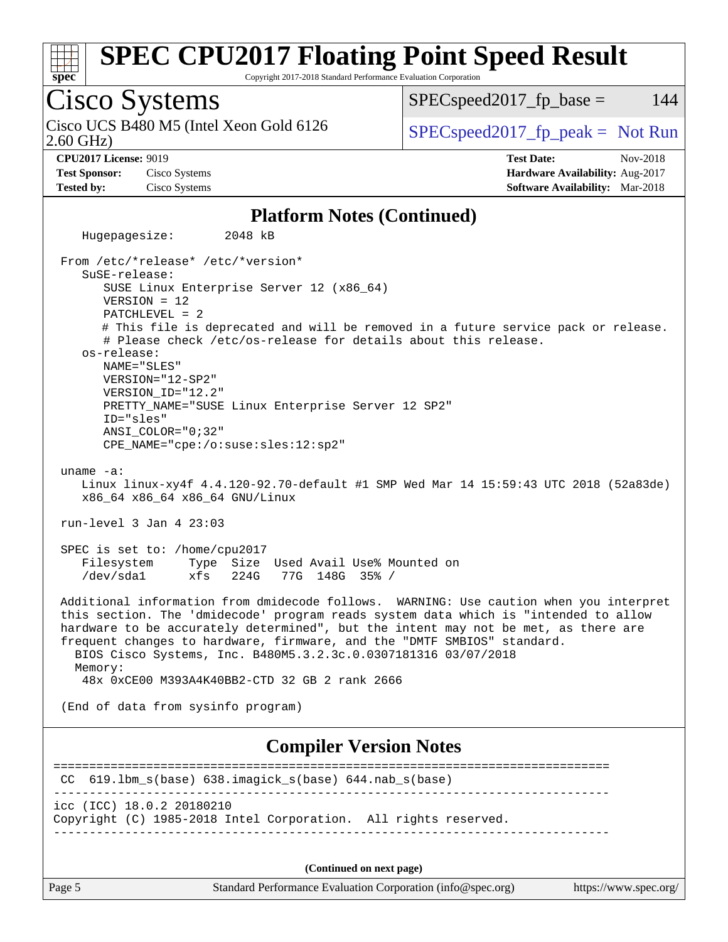

Copyright 2017-2018 Standard Performance Evaluation Corporation

Cisco Systems 2.60 GHz) Cisco UCS B480 M5 (Intel Xeon Gold 6126  $\vert$  [SPECspeed2017\\_fp\\_peak =](http://www.spec.org/auto/cpu2017/Docs/result-fields.html#SPECspeed2017fppeak) Not Run

 $SPEC speed2017<sub>fp</sub> base = 144$ 

**[CPU2017 License:](http://www.spec.org/auto/cpu2017/Docs/result-fields.html#CPU2017License)** 9019 **[Test Date:](http://www.spec.org/auto/cpu2017/Docs/result-fields.html#TestDate)** Nov-2018 **[Test Sponsor:](http://www.spec.org/auto/cpu2017/Docs/result-fields.html#TestSponsor)** Cisco Systems **[Hardware Availability:](http://www.spec.org/auto/cpu2017/Docs/result-fields.html#HardwareAvailability)** Aug-2017 **[Tested by:](http://www.spec.org/auto/cpu2017/Docs/result-fields.html#Testedby)** Cisco Systems **[Software Availability:](http://www.spec.org/auto/cpu2017/Docs/result-fields.html#SoftwareAvailability)** Mar-2018

#### **[Platform Notes \(Continued\)](http://www.spec.org/auto/cpu2017/Docs/result-fields.html#PlatformNotes)**

 Hugepagesize: 2048 kB From /etc/\*release\* /etc/\*version\* SuSE-release: SUSE Linux Enterprise Server 12 (x86\_64) VERSION = 12 PATCHLEVEL = 2 # This file is deprecated and will be removed in a future service pack or release. # Please check /etc/os-release for details about this release. os-release: NAME="SLES" VERSION="12-SP2" VERSION\_ID="12.2" PRETTY\_NAME="SUSE Linux Enterprise Server 12 SP2" ID="sles" ANSI\_COLOR="0;32" CPE\_NAME="cpe:/o:suse:sles:12:sp2" uname -a: Linux linux-xy4f 4.4.120-92.70-default #1 SMP Wed Mar 14 15:59:43 UTC 2018 (52a83de) x86\_64 x86\_64 x86\_64 GNU/Linux run-level 3 Jan 4 23:03 SPEC is set to: /home/cpu2017 Filesystem Type Size Used Avail Use% Mounted on /dev/sda1 xfs 224G 77G 148G 35% / Additional information from dmidecode follows. WARNING: Use caution when you interpret this section. The 'dmidecode' program reads system data which is "intended to allow hardware to be accurately determined", but the intent may not be met, as there are frequent changes to hardware, firmware, and the "DMTF SMBIOS" standard. BIOS Cisco Systems, Inc. B480M5.3.2.3c.0.0307181316 03/07/2018 Memory: 48x 0xCE00 M393A4K40BB2-CTD 32 GB 2 rank 2666 (End of data from sysinfo program) **[Compiler Version Notes](http://www.spec.org/auto/cpu2017/Docs/result-fields.html#CompilerVersionNotes)** ============================================================================== CC 619.lbm\_s(base) 638.imagick\_s(base) 644.nab\_s(base) ----------------------------------------------------------------------------- icc (ICC) 18.0.2 20180210 Copyright (C) 1985-2018 Intel Corporation. All rights reserved. ------------------------------------------------------------------------------ **(Continued on next page)**

Page 5 Standard Performance Evaluation Corporation [\(info@spec.org\)](mailto:info@spec.org) <https://www.spec.org/>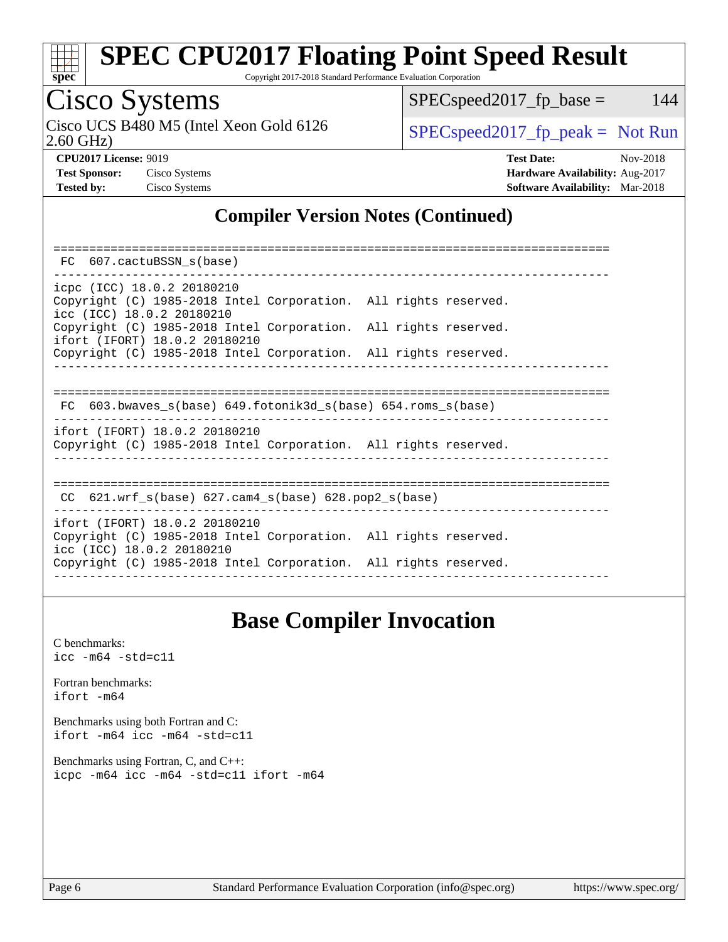

Copyright 2017-2018 Standard Performance Evaluation Corporation

# Cisco Systems<br>Cisco UCS B480 M5 (Intel Xeon Gold 6126

2.60 GHz)

 $SPEC speed2017_fp\_base = 144$ 

 $SPEC speed2017_fp\_peak = Not Run$ 

**[Test Sponsor:](http://www.spec.org/auto/cpu2017/Docs/result-fields.html#TestSponsor)** Cisco Systems **[Hardware Availability:](http://www.spec.org/auto/cpu2017/Docs/result-fields.html#HardwareAvailability)** Aug-2017 **[Tested by:](http://www.spec.org/auto/cpu2017/Docs/result-fields.html#Testedby)** Cisco Systems **[Software Availability:](http://www.spec.org/auto/cpu2017/Docs/result-fields.html#SoftwareAvailability)** Mar-2018

**[CPU2017 License:](http://www.spec.org/auto/cpu2017/Docs/result-fields.html#CPU2017License)** 9019 **[Test Date:](http://www.spec.org/auto/cpu2017/Docs/result-fields.html#TestDate)** Nov-2018

### **[Compiler Version Notes \(Continued\)](http://www.spec.org/auto/cpu2017/Docs/result-fields.html#CompilerVersionNotes)**

| FC 607.cactuBSSN s(base)                                                                                                      |  |
|-------------------------------------------------------------------------------------------------------------------------------|--|
| icpc (ICC) 18.0.2 20180210<br>Copyright (C) 1985-2018 Intel Corporation. All rights reserved.<br>icc (ICC) 18.0.2 20180210    |  |
| Copyright (C) 1985-2018 Intel Corporation. All rights reserved.<br>ifort (IFORT) 18.0.2 20180210                              |  |
| Copyright (C) 1985-2018 Intel Corporation. All rights reserved.                                                               |  |
|                                                                                                                               |  |
| FC 603.bwaves s(base) 649.fotonik3d s(base) 654.roms s(base)                                                                  |  |
| ifort (IFORT) 18.0.2 20180210<br>Copyright (C) 1985-2018 Intel Corporation. All rights reserved.                              |  |
| CC $621.wrf$ s(base) $627.cam4$ s(base) $628.pop2$ s(base)                                                                    |  |
| ifort (IFORT) 18.0.2 20180210<br>Copyright (C) 1985-2018 Intel Corporation. All rights reserved.<br>icc (ICC) 18.0.2 20180210 |  |
| Copyright (C) 1985-2018 Intel Corporation. All rights reserved.                                                               |  |

### **[Base Compiler Invocation](http://www.spec.org/auto/cpu2017/Docs/result-fields.html#BaseCompilerInvocation)**

[C benchmarks](http://www.spec.org/auto/cpu2017/Docs/result-fields.html#Cbenchmarks): [icc -m64 -std=c11](http://www.spec.org/cpu2017/results/res2018q4/cpu2017-20181113-09729.flags.html#user_CCbase_intel_icc_64bit_c11_33ee0cdaae7deeeab2a9725423ba97205ce30f63b9926c2519791662299b76a0318f32ddfffdc46587804de3178b4f9328c46fa7c2b0cd779d7a61945c91cd35)

[Fortran benchmarks](http://www.spec.org/auto/cpu2017/Docs/result-fields.html#Fortranbenchmarks): [ifort -m64](http://www.spec.org/cpu2017/results/res2018q4/cpu2017-20181113-09729.flags.html#user_FCbase_intel_ifort_64bit_24f2bb282fbaeffd6157abe4f878425411749daecae9a33200eee2bee2fe76f3b89351d69a8130dd5949958ce389cf37ff59a95e7a40d588e8d3a57e0c3fd751)

[Benchmarks using both Fortran and C](http://www.spec.org/auto/cpu2017/Docs/result-fields.html#BenchmarksusingbothFortranandC): [ifort -m64](http://www.spec.org/cpu2017/results/res2018q4/cpu2017-20181113-09729.flags.html#user_CC_FCbase_intel_ifort_64bit_24f2bb282fbaeffd6157abe4f878425411749daecae9a33200eee2bee2fe76f3b89351d69a8130dd5949958ce389cf37ff59a95e7a40d588e8d3a57e0c3fd751) [icc -m64 -std=c11](http://www.spec.org/cpu2017/results/res2018q4/cpu2017-20181113-09729.flags.html#user_CC_FCbase_intel_icc_64bit_c11_33ee0cdaae7deeeab2a9725423ba97205ce30f63b9926c2519791662299b76a0318f32ddfffdc46587804de3178b4f9328c46fa7c2b0cd779d7a61945c91cd35)

[Benchmarks using Fortran, C, and C++:](http://www.spec.org/auto/cpu2017/Docs/result-fields.html#BenchmarksusingFortranCandCXX) [icpc -m64](http://www.spec.org/cpu2017/results/res2018q4/cpu2017-20181113-09729.flags.html#user_CC_CXX_FCbase_intel_icpc_64bit_4ecb2543ae3f1412ef961e0650ca070fec7b7afdcd6ed48761b84423119d1bf6bdf5cad15b44d48e7256388bc77273b966e5eb805aefd121eb22e9299b2ec9d9) [icc -m64 -std=c11](http://www.spec.org/cpu2017/results/res2018q4/cpu2017-20181113-09729.flags.html#user_CC_CXX_FCbase_intel_icc_64bit_c11_33ee0cdaae7deeeab2a9725423ba97205ce30f63b9926c2519791662299b76a0318f32ddfffdc46587804de3178b4f9328c46fa7c2b0cd779d7a61945c91cd35) [ifort -m64](http://www.spec.org/cpu2017/results/res2018q4/cpu2017-20181113-09729.flags.html#user_CC_CXX_FCbase_intel_ifort_64bit_24f2bb282fbaeffd6157abe4f878425411749daecae9a33200eee2bee2fe76f3b89351d69a8130dd5949958ce389cf37ff59a95e7a40d588e8d3a57e0c3fd751)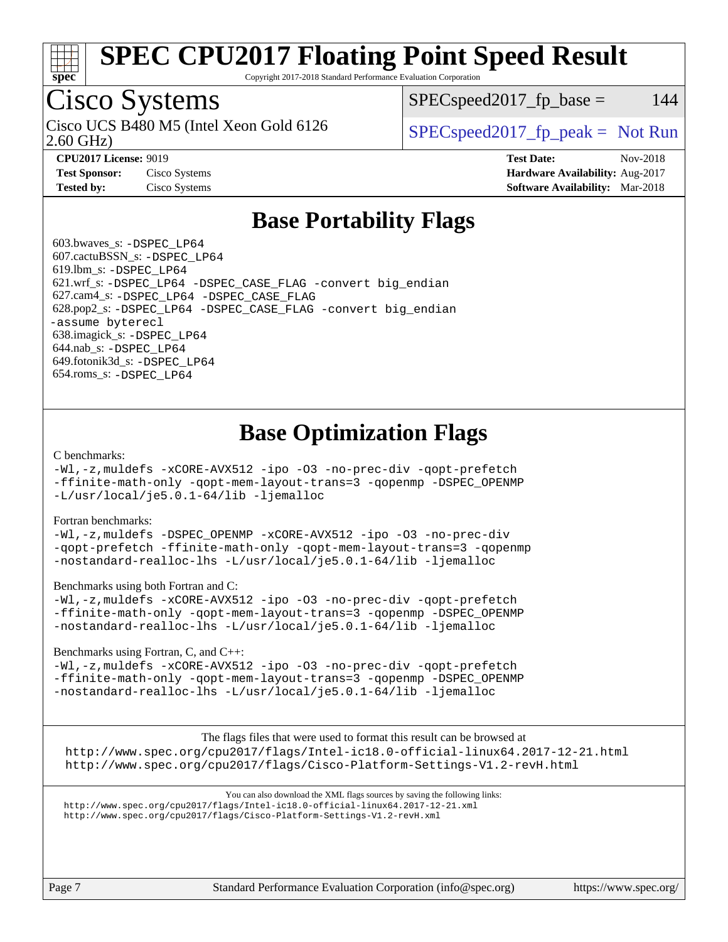

Copyright 2017-2018 Standard Performance Evaluation Corporation

## Cisco Systems

2.60 GHz) Cisco UCS B480 M5 (Intel Xeon Gold 6126  $\vert$  [SPECspeed2017\\_fp\\_peak =](http://www.spec.org/auto/cpu2017/Docs/result-fields.html#SPECspeed2017fppeak) Not Run

 $SPEC speed2017<sub>fp</sub> base = 144$ 

**[CPU2017 License:](http://www.spec.org/auto/cpu2017/Docs/result-fields.html#CPU2017License)** 9019 **[Test Date:](http://www.spec.org/auto/cpu2017/Docs/result-fields.html#TestDate)** Nov-2018 **[Test Sponsor:](http://www.spec.org/auto/cpu2017/Docs/result-fields.html#TestSponsor)** Cisco Systems **[Hardware Availability:](http://www.spec.org/auto/cpu2017/Docs/result-fields.html#HardwareAvailability)** Aug-2017 **[Tested by:](http://www.spec.org/auto/cpu2017/Docs/result-fields.html#Testedby)** Cisco Systems **[Software Availability:](http://www.spec.org/auto/cpu2017/Docs/result-fields.html#SoftwareAvailability)** Mar-2018

### **[Base Portability Flags](http://www.spec.org/auto/cpu2017/Docs/result-fields.html#BasePortabilityFlags)**

 603.bwaves\_s: [-DSPEC\\_LP64](http://www.spec.org/cpu2017/results/res2018q4/cpu2017-20181113-09729.flags.html#suite_basePORTABILITY603_bwaves_s_DSPEC_LP64) 607.cactuBSSN\_s: [-DSPEC\\_LP64](http://www.spec.org/cpu2017/results/res2018q4/cpu2017-20181113-09729.flags.html#suite_basePORTABILITY607_cactuBSSN_s_DSPEC_LP64) 619.lbm\_s: [-DSPEC\\_LP64](http://www.spec.org/cpu2017/results/res2018q4/cpu2017-20181113-09729.flags.html#suite_basePORTABILITY619_lbm_s_DSPEC_LP64) 621.wrf\_s: [-DSPEC\\_LP64](http://www.spec.org/cpu2017/results/res2018q4/cpu2017-20181113-09729.flags.html#suite_basePORTABILITY621_wrf_s_DSPEC_LP64) [-DSPEC\\_CASE\\_FLAG](http://www.spec.org/cpu2017/results/res2018q4/cpu2017-20181113-09729.flags.html#b621.wrf_s_baseCPORTABILITY_DSPEC_CASE_FLAG) [-convert big\\_endian](http://www.spec.org/cpu2017/results/res2018q4/cpu2017-20181113-09729.flags.html#user_baseFPORTABILITY621_wrf_s_convert_big_endian_c3194028bc08c63ac5d04de18c48ce6d347e4e562e8892b8bdbdc0214820426deb8554edfa529a3fb25a586e65a3d812c835984020483e7e73212c4d31a38223) 627.cam4\_s: [-DSPEC\\_LP64](http://www.spec.org/cpu2017/results/res2018q4/cpu2017-20181113-09729.flags.html#suite_basePORTABILITY627_cam4_s_DSPEC_LP64) [-DSPEC\\_CASE\\_FLAG](http://www.spec.org/cpu2017/results/res2018q4/cpu2017-20181113-09729.flags.html#b627.cam4_s_baseCPORTABILITY_DSPEC_CASE_FLAG) 628.pop2\_s: [-DSPEC\\_LP64](http://www.spec.org/cpu2017/results/res2018q4/cpu2017-20181113-09729.flags.html#suite_basePORTABILITY628_pop2_s_DSPEC_LP64) [-DSPEC\\_CASE\\_FLAG](http://www.spec.org/cpu2017/results/res2018q4/cpu2017-20181113-09729.flags.html#b628.pop2_s_baseCPORTABILITY_DSPEC_CASE_FLAG) [-convert big\\_endian](http://www.spec.org/cpu2017/results/res2018q4/cpu2017-20181113-09729.flags.html#user_baseFPORTABILITY628_pop2_s_convert_big_endian_c3194028bc08c63ac5d04de18c48ce6d347e4e562e8892b8bdbdc0214820426deb8554edfa529a3fb25a586e65a3d812c835984020483e7e73212c4d31a38223) [-assume byterecl](http://www.spec.org/cpu2017/results/res2018q4/cpu2017-20181113-09729.flags.html#user_baseFPORTABILITY628_pop2_s_assume_byterecl_7e47d18b9513cf18525430bbf0f2177aa9bf368bc7a059c09b2c06a34b53bd3447c950d3f8d6c70e3faf3a05c8557d66a5798b567902e8849adc142926523472) 638.imagick\_s: [-DSPEC\\_LP64](http://www.spec.org/cpu2017/results/res2018q4/cpu2017-20181113-09729.flags.html#suite_basePORTABILITY638_imagick_s_DSPEC_LP64) 644.nab\_s: [-DSPEC\\_LP64](http://www.spec.org/cpu2017/results/res2018q4/cpu2017-20181113-09729.flags.html#suite_basePORTABILITY644_nab_s_DSPEC_LP64) 649.fotonik3d\_s: [-DSPEC\\_LP64](http://www.spec.org/cpu2017/results/res2018q4/cpu2017-20181113-09729.flags.html#suite_basePORTABILITY649_fotonik3d_s_DSPEC_LP64) 654.roms\_s: [-DSPEC\\_LP64](http://www.spec.org/cpu2017/results/res2018q4/cpu2017-20181113-09729.flags.html#suite_basePORTABILITY654_roms_s_DSPEC_LP64)

## **[Base Optimization Flags](http://www.spec.org/auto/cpu2017/Docs/result-fields.html#BaseOptimizationFlags)**

#### [C benchmarks](http://www.spec.org/auto/cpu2017/Docs/result-fields.html#Cbenchmarks):

[-Wl,-z,muldefs](http://www.spec.org/cpu2017/results/res2018q4/cpu2017-20181113-09729.flags.html#user_CCbase_link_force_multiple1_b4cbdb97b34bdee9ceefcfe54f4c8ea74255f0b02a4b23e853cdb0e18eb4525ac79b5a88067c842dd0ee6996c24547a27a4b99331201badda8798ef8a743f577) [-xCORE-AVX512](http://www.spec.org/cpu2017/results/res2018q4/cpu2017-20181113-09729.flags.html#user_CCbase_f-xCORE-AVX512) [-ipo](http://www.spec.org/cpu2017/results/res2018q4/cpu2017-20181113-09729.flags.html#user_CCbase_f-ipo) [-O3](http://www.spec.org/cpu2017/results/res2018q4/cpu2017-20181113-09729.flags.html#user_CCbase_f-O3) [-no-prec-div](http://www.spec.org/cpu2017/results/res2018q4/cpu2017-20181113-09729.flags.html#user_CCbase_f-no-prec-div) [-qopt-prefetch](http://www.spec.org/cpu2017/results/res2018q4/cpu2017-20181113-09729.flags.html#user_CCbase_f-qopt-prefetch) [-ffinite-math-only](http://www.spec.org/cpu2017/results/res2018q4/cpu2017-20181113-09729.flags.html#user_CCbase_f_finite_math_only_cb91587bd2077682c4b38af759c288ed7c732db004271a9512da14a4f8007909a5f1427ecbf1a0fb78ff2a814402c6114ac565ca162485bbcae155b5e4258871) [-qopt-mem-layout-trans=3](http://www.spec.org/cpu2017/results/res2018q4/cpu2017-20181113-09729.flags.html#user_CCbase_f-qopt-mem-layout-trans_de80db37974c74b1f0e20d883f0b675c88c3b01e9d123adea9b28688d64333345fb62bc4a798493513fdb68f60282f9a726aa07f478b2f7113531aecce732043) [-qopenmp](http://www.spec.org/cpu2017/results/res2018q4/cpu2017-20181113-09729.flags.html#user_CCbase_qopenmp_16be0c44f24f464004c6784a7acb94aca937f053568ce72f94b139a11c7c168634a55f6653758ddd83bcf7b8463e8028bb0b48b77bcddc6b78d5d95bb1df2967) [-DSPEC\\_OPENMP](http://www.spec.org/cpu2017/results/res2018q4/cpu2017-20181113-09729.flags.html#suite_CCbase_DSPEC_OPENMP) [-L/usr/local/je5.0.1-64/lib](http://www.spec.org/cpu2017/results/res2018q4/cpu2017-20181113-09729.flags.html#user_CCbase_jemalloc_link_path64_4b10a636b7bce113509b17f3bd0d6226c5fb2346b9178c2d0232c14f04ab830f976640479e5c33dc2bcbbdad86ecfb6634cbbd4418746f06f368b512fced5394) [-ljemalloc](http://www.spec.org/cpu2017/results/res2018q4/cpu2017-20181113-09729.flags.html#user_CCbase_jemalloc_link_lib_d1249b907c500fa1c0672f44f562e3d0f79738ae9e3c4a9c376d49f265a04b9c99b167ecedbf6711b3085be911c67ff61f150a17b3472be731631ba4d0471706)

#### [Fortran benchmarks](http://www.spec.org/auto/cpu2017/Docs/result-fields.html#Fortranbenchmarks):

[-Wl,-z,muldefs](http://www.spec.org/cpu2017/results/res2018q4/cpu2017-20181113-09729.flags.html#user_FCbase_link_force_multiple1_b4cbdb97b34bdee9ceefcfe54f4c8ea74255f0b02a4b23e853cdb0e18eb4525ac79b5a88067c842dd0ee6996c24547a27a4b99331201badda8798ef8a743f577) [-DSPEC\\_OPENMP](http://www.spec.org/cpu2017/results/res2018q4/cpu2017-20181113-09729.flags.html#suite_FCbase_DSPEC_OPENMP) [-xCORE-AVX512](http://www.spec.org/cpu2017/results/res2018q4/cpu2017-20181113-09729.flags.html#user_FCbase_f-xCORE-AVX512) [-ipo](http://www.spec.org/cpu2017/results/res2018q4/cpu2017-20181113-09729.flags.html#user_FCbase_f-ipo) [-O3](http://www.spec.org/cpu2017/results/res2018q4/cpu2017-20181113-09729.flags.html#user_FCbase_f-O3) [-no-prec-div](http://www.spec.org/cpu2017/results/res2018q4/cpu2017-20181113-09729.flags.html#user_FCbase_f-no-prec-div) [-qopt-prefetch](http://www.spec.org/cpu2017/results/res2018q4/cpu2017-20181113-09729.flags.html#user_FCbase_f-qopt-prefetch) [-ffinite-math-only](http://www.spec.org/cpu2017/results/res2018q4/cpu2017-20181113-09729.flags.html#user_FCbase_f_finite_math_only_cb91587bd2077682c4b38af759c288ed7c732db004271a9512da14a4f8007909a5f1427ecbf1a0fb78ff2a814402c6114ac565ca162485bbcae155b5e4258871) [-qopt-mem-layout-trans=3](http://www.spec.org/cpu2017/results/res2018q4/cpu2017-20181113-09729.flags.html#user_FCbase_f-qopt-mem-layout-trans_de80db37974c74b1f0e20d883f0b675c88c3b01e9d123adea9b28688d64333345fb62bc4a798493513fdb68f60282f9a726aa07f478b2f7113531aecce732043) [-qopenmp](http://www.spec.org/cpu2017/results/res2018q4/cpu2017-20181113-09729.flags.html#user_FCbase_qopenmp_16be0c44f24f464004c6784a7acb94aca937f053568ce72f94b139a11c7c168634a55f6653758ddd83bcf7b8463e8028bb0b48b77bcddc6b78d5d95bb1df2967) [-nostandard-realloc-lhs](http://www.spec.org/cpu2017/results/res2018q4/cpu2017-20181113-09729.flags.html#user_FCbase_f_2003_std_realloc_82b4557e90729c0f113870c07e44d33d6f5a304b4f63d4c15d2d0f1fab99f5daaed73bdb9275d9ae411527f28b936061aa8b9c8f2d63842963b95c9dd6426b8a) [-L/usr/local/je5.0.1-64/lib](http://www.spec.org/cpu2017/results/res2018q4/cpu2017-20181113-09729.flags.html#user_FCbase_jemalloc_link_path64_4b10a636b7bce113509b17f3bd0d6226c5fb2346b9178c2d0232c14f04ab830f976640479e5c33dc2bcbbdad86ecfb6634cbbd4418746f06f368b512fced5394) [-ljemalloc](http://www.spec.org/cpu2017/results/res2018q4/cpu2017-20181113-09729.flags.html#user_FCbase_jemalloc_link_lib_d1249b907c500fa1c0672f44f562e3d0f79738ae9e3c4a9c376d49f265a04b9c99b167ecedbf6711b3085be911c67ff61f150a17b3472be731631ba4d0471706)

#### [Benchmarks using both Fortran and C](http://www.spec.org/auto/cpu2017/Docs/result-fields.html#BenchmarksusingbothFortranandC):

[-Wl,-z,muldefs](http://www.spec.org/cpu2017/results/res2018q4/cpu2017-20181113-09729.flags.html#user_CC_FCbase_link_force_multiple1_b4cbdb97b34bdee9ceefcfe54f4c8ea74255f0b02a4b23e853cdb0e18eb4525ac79b5a88067c842dd0ee6996c24547a27a4b99331201badda8798ef8a743f577) [-xCORE-AVX512](http://www.spec.org/cpu2017/results/res2018q4/cpu2017-20181113-09729.flags.html#user_CC_FCbase_f-xCORE-AVX512) [-ipo](http://www.spec.org/cpu2017/results/res2018q4/cpu2017-20181113-09729.flags.html#user_CC_FCbase_f-ipo) [-O3](http://www.spec.org/cpu2017/results/res2018q4/cpu2017-20181113-09729.flags.html#user_CC_FCbase_f-O3) [-no-prec-div](http://www.spec.org/cpu2017/results/res2018q4/cpu2017-20181113-09729.flags.html#user_CC_FCbase_f-no-prec-div) [-qopt-prefetch](http://www.spec.org/cpu2017/results/res2018q4/cpu2017-20181113-09729.flags.html#user_CC_FCbase_f-qopt-prefetch) [-ffinite-math-only](http://www.spec.org/cpu2017/results/res2018q4/cpu2017-20181113-09729.flags.html#user_CC_FCbase_f_finite_math_only_cb91587bd2077682c4b38af759c288ed7c732db004271a9512da14a4f8007909a5f1427ecbf1a0fb78ff2a814402c6114ac565ca162485bbcae155b5e4258871) [-qopt-mem-layout-trans=3](http://www.spec.org/cpu2017/results/res2018q4/cpu2017-20181113-09729.flags.html#user_CC_FCbase_f-qopt-mem-layout-trans_de80db37974c74b1f0e20d883f0b675c88c3b01e9d123adea9b28688d64333345fb62bc4a798493513fdb68f60282f9a726aa07f478b2f7113531aecce732043) [-qopenmp](http://www.spec.org/cpu2017/results/res2018q4/cpu2017-20181113-09729.flags.html#user_CC_FCbase_qopenmp_16be0c44f24f464004c6784a7acb94aca937f053568ce72f94b139a11c7c168634a55f6653758ddd83bcf7b8463e8028bb0b48b77bcddc6b78d5d95bb1df2967) [-DSPEC\\_OPENMP](http://www.spec.org/cpu2017/results/res2018q4/cpu2017-20181113-09729.flags.html#suite_CC_FCbase_DSPEC_OPENMP) [-nostandard-realloc-lhs](http://www.spec.org/cpu2017/results/res2018q4/cpu2017-20181113-09729.flags.html#user_CC_FCbase_f_2003_std_realloc_82b4557e90729c0f113870c07e44d33d6f5a304b4f63d4c15d2d0f1fab99f5daaed73bdb9275d9ae411527f28b936061aa8b9c8f2d63842963b95c9dd6426b8a) [-L/usr/local/je5.0.1-64/lib](http://www.spec.org/cpu2017/results/res2018q4/cpu2017-20181113-09729.flags.html#user_CC_FCbase_jemalloc_link_path64_4b10a636b7bce113509b17f3bd0d6226c5fb2346b9178c2d0232c14f04ab830f976640479e5c33dc2bcbbdad86ecfb6634cbbd4418746f06f368b512fced5394) [-ljemalloc](http://www.spec.org/cpu2017/results/res2018q4/cpu2017-20181113-09729.flags.html#user_CC_FCbase_jemalloc_link_lib_d1249b907c500fa1c0672f44f562e3d0f79738ae9e3c4a9c376d49f265a04b9c99b167ecedbf6711b3085be911c67ff61f150a17b3472be731631ba4d0471706)

#### [Benchmarks using Fortran, C, and C++:](http://www.spec.org/auto/cpu2017/Docs/result-fields.html#BenchmarksusingFortranCandCXX)

[-Wl,-z,muldefs](http://www.spec.org/cpu2017/results/res2018q4/cpu2017-20181113-09729.flags.html#user_CC_CXX_FCbase_link_force_multiple1_b4cbdb97b34bdee9ceefcfe54f4c8ea74255f0b02a4b23e853cdb0e18eb4525ac79b5a88067c842dd0ee6996c24547a27a4b99331201badda8798ef8a743f577) [-xCORE-AVX512](http://www.spec.org/cpu2017/results/res2018q4/cpu2017-20181113-09729.flags.html#user_CC_CXX_FCbase_f-xCORE-AVX512) [-ipo](http://www.spec.org/cpu2017/results/res2018q4/cpu2017-20181113-09729.flags.html#user_CC_CXX_FCbase_f-ipo) [-O3](http://www.spec.org/cpu2017/results/res2018q4/cpu2017-20181113-09729.flags.html#user_CC_CXX_FCbase_f-O3) [-no-prec-div](http://www.spec.org/cpu2017/results/res2018q4/cpu2017-20181113-09729.flags.html#user_CC_CXX_FCbase_f-no-prec-div) [-qopt-prefetch](http://www.spec.org/cpu2017/results/res2018q4/cpu2017-20181113-09729.flags.html#user_CC_CXX_FCbase_f-qopt-prefetch) [-ffinite-math-only](http://www.spec.org/cpu2017/results/res2018q4/cpu2017-20181113-09729.flags.html#user_CC_CXX_FCbase_f_finite_math_only_cb91587bd2077682c4b38af759c288ed7c732db004271a9512da14a4f8007909a5f1427ecbf1a0fb78ff2a814402c6114ac565ca162485bbcae155b5e4258871) [-qopt-mem-layout-trans=3](http://www.spec.org/cpu2017/results/res2018q4/cpu2017-20181113-09729.flags.html#user_CC_CXX_FCbase_f-qopt-mem-layout-trans_de80db37974c74b1f0e20d883f0b675c88c3b01e9d123adea9b28688d64333345fb62bc4a798493513fdb68f60282f9a726aa07f478b2f7113531aecce732043) [-qopenmp](http://www.spec.org/cpu2017/results/res2018q4/cpu2017-20181113-09729.flags.html#user_CC_CXX_FCbase_qopenmp_16be0c44f24f464004c6784a7acb94aca937f053568ce72f94b139a11c7c168634a55f6653758ddd83bcf7b8463e8028bb0b48b77bcddc6b78d5d95bb1df2967) [-DSPEC\\_OPENMP](http://www.spec.org/cpu2017/results/res2018q4/cpu2017-20181113-09729.flags.html#suite_CC_CXX_FCbase_DSPEC_OPENMP) [-nostandard-realloc-lhs](http://www.spec.org/cpu2017/results/res2018q4/cpu2017-20181113-09729.flags.html#user_CC_CXX_FCbase_f_2003_std_realloc_82b4557e90729c0f113870c07e44d33d6f5a304b4f63d4c15d2d0f1fab99f5daaed73bdb9275d9ae411527f28b936061aa8b9c8f2d63842963b95c9dd6426b8a) [-L/usr/local/je5.0.1-64/lib](http://www.spec.org/cpu2017/results/res2018q4/cpu2017-20181113-09729.flags.html#user_CC_CXX_FCbase_jemalloc_link_path64_4b10a636b7bce113509b17f3bd0d6226c5fb2346b9178c2d0232c14f04ab830f976640479e5c33dc2bcbbdad86ecfb6634cbbd4418746f06f368b512fced5394) [-ljemalloc](http://www.spec.org/cpu2017/results/res2018q4/cpu2017-20181113-09729.flags.html#user_CC_CXX_FCbase_jemalloc_link_lib_d1249b907c500fa1c0672f44f562e3d0f79738ae9e3c4a9c376d49f265a04b9c99b167ecedbf6711b3085be911c67ff61f150a17b3472be731631ba4d0471706)

The flags files that were used to format this result can be browsed at <http://www.spec.org/cpu2017/flags/Intel-ic18.0-official-linux64.2017-12-21.html> <http://www.spec.org/cpu2017/flags/Cisco-Platform-Settings-V1.2-revH.html>

You can also download the XML flags sources by saving the following links: <http://www.spec.org/cpu2017/flags/Intel-ic18.0-official-linux64.2017-12-21.xml> <http://www.spec.org/cpu2017/flags/Cisco-Platform-Settings-V1.2-revH.xml>